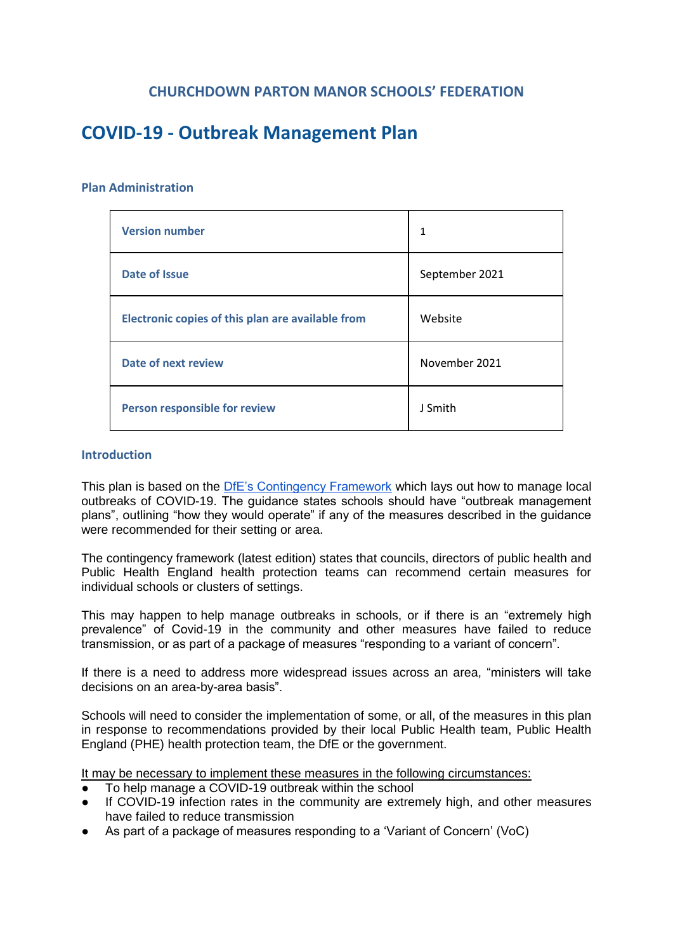# **CHURCHDOWN PARTON MANOR SCHOOLS' FEDERATION**

# **COVID-19 - Outbreak Management Plan**

#### **Plan Administration**

| <b>Version number</b>                             | $\mathbf{1}$   |
|---------------------------------------------------|----------------|
| Date of Issue                                     | September 2021 |
| Electronic copies of this plan are available from | Website        |
| Date of next review                               | November 2021  |
| Person responsible for review                     | J Smith        |

#### **Introduction**

This plan is based on the [DfE's Contingency Framework](https://www.gov.uk/government/publications/coronavirus-covid-19-local-restrictions-in-education-and-childcare-settings/contingency-framework-education-and-childcare-settings) which lays out how to manage local outbreaks of COVID-19. The guidance states schools should have "outbreak management plans", outlining "how they would operate" if any of the measures described in the guidance were recommended for their setting or area.

The contingency framework (latest edition) states that councils, directors of public health and Public Health England health protection teams can recommend certain measures for individual schools or clusters of settings.

This may happen to help manage outbreaks in schools, or if there is an "extremely high prevalence" of Covid-19 in the community and other measures have failed to reduce transmission, or as part of a package of measures "responding to a variant of concern".

If there is a need to address more widespread issues across an area, "ministers will take decisions on an area-by-area basis".

Schools will need to consider the implementation of some, or all, of the measures in this plan in response to recommendations provided by their local Public Health team, Public Health England (PHE) health protection team, the DfE or the government.

It may be necessary to implement these measures in the following circumstances:

- To help manage a COVID-19 outbreak within the school
- If COVID-19 infection rates in the community are extremely high, and other measures have failed to reduce transmission
- As part of a package of measures responding to a 'Variant of Concern' (VoC)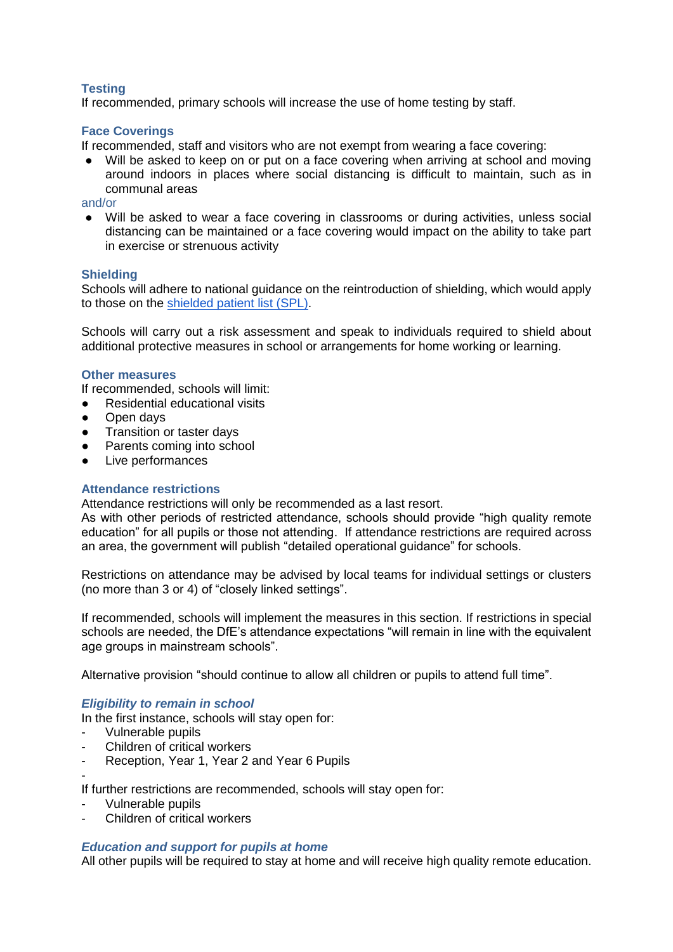# **Testing**

If recommended, primary schools will increase the use of home testing by staff.

## **Face Coverings**

If recommended, staff and visitors who are not exempt from wearing a face covering:

● Will be asked to keep on or put on a face covering when arriving at school and moving around indoors in places where social distancing is difficult to maintain, such as in communal areas

#### and/or

● Will be asked to wear a face covering in classrooms or during activities, unless social distancing can be maintained or a face covering would impact on the ability to take part in exercise or strenuous activity

#### **Shielding**

Schools will adhere to national guidance on the reintroduction of shielding, which would apply to those on the [shielded patient list \(SPL\).](https://digital.nhs.uk/coronavirus/shielded-patient-list)

Schools will carry out a risk assessment and speak to individuals required to shield about additional protective measures in school or arrangements for home working or learning.

#### **Other measures**

If recommended, schools will limit:

- Residential educational visits
- Open days
- Transition or taster days
- Parents coming into school
- Live performances

### **Attendance restrictions**

Attendance restrictions will only be recommended as a last resort.

As with other periods of restricted attendance, schools should provide "high quality remote education" for all pupils or those not attending. If attendance restrictions are required across an area, the government will publish "detailed operational guidance" for schools.

Restrictions on attendance may be advised by local teams for individual settings or clusters (no more than 3 or 4) of "closely linked settings".

If recommended, schools will implement the measures in this section. If restrictions in special schools are needed, the DfE's attendance expectations "will remain in line with the equivalent age groups in mainstream schools".

Alternative provision "should continue to allow all children or pupils to attend full time".

### *Eligibility to remain in school*

In the first instance, schools will stay open for:

- Vulnerable pupils
- Children of critical workers
- Reception, Year 1, Year 2 and Year 6 Pupils

-

If further restrictions are recommended, schools will stay open for:

- Vulnerable pupils
- Children of critical workers

### *Education and support for pupils at home*

All other pupils will be required to stay at home and will receive high quality remote education.